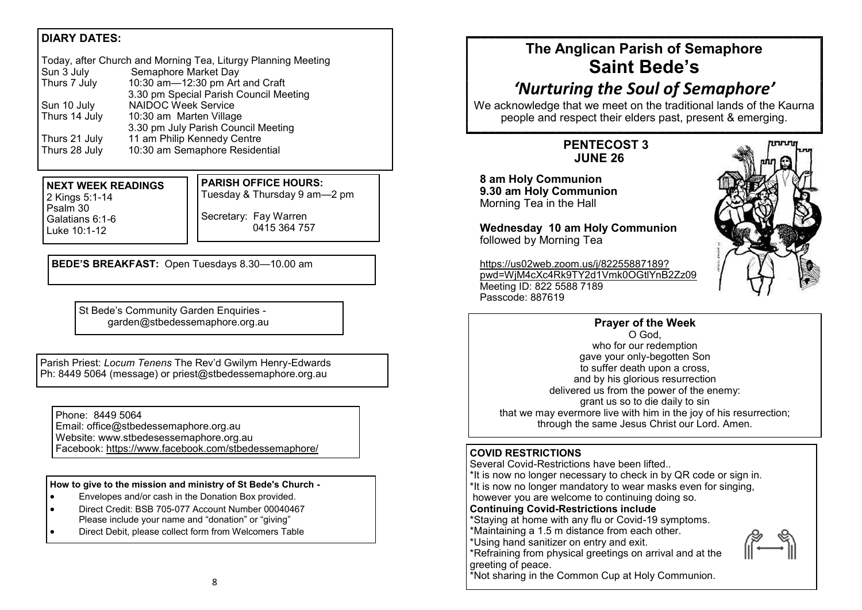## **DIARY DATES:**

| Today, after Church and Morning Tea, Liturgy Planning Meeting |                                        |  |
|---------------------------------------------------------------|----------------------------------------|--|
| Sun 3 July                                                    | Semaphore Market Day                   |  |
| Thurs 7 July                                                  | 10:30 am-12:30 pm Art and Craft        |  |
|                                                               | 3.30 pm Special Parish Council Meeting |  |
| Sun 10 July                                                   | <b>NAIDOC Week Service</b>             |  |
| Thurs 14 July                                                 | 10:30 am Marten Village                |  |
|                                                               | 3.30 pm July Parish Council Meeting    |  |
| Thurs 21 July                                                 | 11 am Philip Kennedy Centre            |  |
| Thurs 28 July                                                 | 10:30 am Semaphore Residential         |  |

**NEXT WEEK READINGS** 2 Kings 5:1-14 Psalm 30 Galatians 6:1-6 Luke 10:1-12

**PARISH OFFICE HOURS:**

Tuesday & Thursday 9 am—2 pm Secretary: Fay Warren

0415 364 757

**BEDE'S BREAKFAST:** Open Tuesdays 8.30—10.00 am

St Bede's Community Garden Enquiries garden@stbedessemaphore.org.au

Parish Priest: *Locum Tenens* The Rev'd Gwilym Henry-Edwards Ph: 8449 5064 (message) or priest@stbedessemaphore.org.au

Phone: 8449 5064

Email: office@stbedessemaphore.org.au Website: www.stbedesessemaphore.org.au

Facebook: <https://www.facebook.com/stbedessemaphore/>

**How to give to the mission and ministry of St Bede's Church -**

- Envelopes and/or cash in the Donation Box provided.
- Direct Credit: BSB 705-077 Account Number 00040467 Please include your name and "donation" or "giving"
- Direct Debit, please collect form from Welcomers Table

## **The Anglican Parish of Semaphore Saint Bede's**

# *'Nurturing the Soul of Semaphore'*

We acknowledge that we meet on the traditional lands of the Kaurna people and respect their elders past, present & emerging.

## **PENTECOST 3 JUNE 26**

**8 am Holy Communion 9.30 am Holy Communion** Morning Tea in the Hall

**Wednesday 10 am Holy Communion** followed by Morning Tea

[https://us02web.zoom.us/j/82255887189?](https://us02web.zoom.us/j/82255887189?pwd=WjM4cXc4Rk9TY2d1Vmk0OGtlYnB2Zz09) [pwd=WjM4cXc4Rk9TY2d1Vmk0OGtlYnB2Zz09](https://us02web.zoom.us/j/82255887189?pwd=WjM4cXc4Rk9TY2d1Vmk0OGtlYnB2Zz09) Meeting ID: 822 5588 7189 Passcode: 887619



## **Prayer of the Week**

O God, who for our redemption gave your only-begotten Son to suffer death upon a cross, and by his glorious resurrection delivered us from the power of the enemy: grant us so to die daily to sin that we may evermore live with him in the joy of his resurrection; through the same Jesus Christ our Lord. Amen.

### **COVID RESTRICTIONS**

Several Covid-Restrictions have been lifted..

\*It is now no longer necessary to check in by QR code or sign in.

\*It is now no longer mandatory to wear masks even for singing,

however you are welcome to continuing doing so.

#### **Continuing Covid-Restrictions include**

\*Staying at home with any flu or Covid-19 symptoms.

\*Maintaining a 1.5 m distance from each other. \*Using hand sanitizer on entry and exit.

\*Refraining from physical greetings on arrival and at the greeting of peace.



\*Not sharing in the Common Cup at Holy Communion.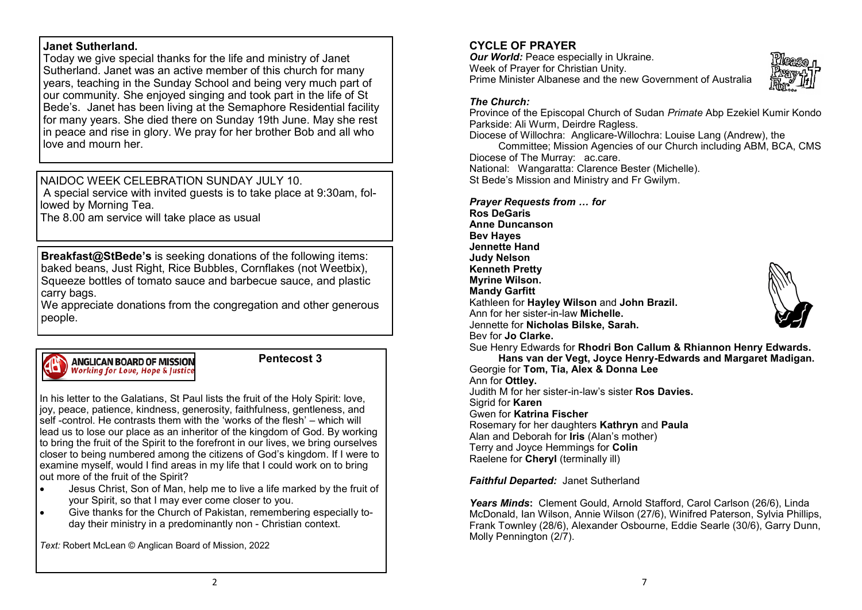#### **Janet Sutherland.**

Today we give special thanks for the life and ministry of Janet Sutherland. Janet was an active member of this church for many years, teaching in the Sunday School and being very much part of our community. She enjoyed singing and took part in the life of St Bede's. Janet has been living at the Semaphore Residential facility for many years. She died there on Sunday 19th June. May she rest in peace and rise in glory. We pray for her brother Bob and all who love and mourn her

## NAIDOC WEEK CELEBRATION SUNDAY JULY 10.

A special service with invited guests is to take place at 9:30am, followed by Morning Tea.

The 8.00 am service will take place as usual

**Breakfast@StBede's** is seeking donations of the following items: baked beans, Just Right, Rice Bubbles, Cornflakes (not Weetbix), Squeeze bottles of tomato sauce and barbecue sauce, and plastic carry bags.

We appreciate donations from the congregation and other generous people.



#### **Pentecost 3**

In his letter to the Galatians, St Paul lists the fruit of the Holy Spirit; love, joy, peace, patience, kindness, generosity, faithfulness, gentleness, and self -control. He contrasts them with the 'works of the flesh' – which will lead us to lose our place as an inheritor of the kingdom of God. By working to bring the fruit of the Spirit to the forefront in our lives, we bring ourselves closer to being numbered among the citizens of God's kingdom. If I were to examine myself, would I find areas in my life that I could work on to bring  $\vert$  out more of the fruit of the Spirit?

- Jesus Christ, Son of Man, help me to live a life marked by the fruit of your Spirit, so that I may ever come closer to you.
- Give thanks for the Church of Pakistan, remembering especially today their ministry in a predominantly non - Christian context.

*Text:* Robert McLean © Anglican Board of Mission, 2022

### **CYCLE OF PRAYER**

*Our World: Peace especially in Ukraine.* Week of Prayer for Christian Unity. Prime Minister Albanese and the new Government of Australia



#### *The Church:*

Province of the Episcopal Church of Sudan *Primate* Abp Ezekiel Kumir Kondo Parkside: Ali Wurm, Deirdre Ragless.

Diocese of Willochra: Anglicare-Willochra: Louise Lang (Andrew), the

Committee; Mission Agencies of our Church including ABM, BCA, CMS Diocese of The Murray: ac.care.

National: Wangaratta: Clarence Bester (Michelle). St Bede's Mission and Ministry and Fr Gwilym.

*Prayer Requests from … for*

**Ros DeGaris Anne Duncanson Bev Hayes Jennette Hand Judy Nelson Kenneth Pretty Myrine Wilson. Mandy Garfitt**  Kathleen for **Hayley Wilson** and **John Brazil.** Ann for her sister-in-law **Michelle.**  Jennette for **Nicholas Bilske, Sarah.** Bev for **Jo Clarke.**



Sue Henry Edwards for **Rhodri Bon Callum & Rhiannon Henry Edwards. Hans van der Vegt, Joyce Henry-Edwards and Margaret Madigan.**

Georgie for **Tom, Tia, Alex & Donna Lee** Ann for **Ottley.**  Judith M for her sister-in-law's sister **Ros Davies.** Sigrid for **Karen**  Gwen for **Katrina Fischer** Rosemary for her daughters **Kathryn** and **Paula** Alan and Deborah for **Iris** (Alan's mother) Terry and Joyce Hemmings for **Colin** Raelene for **Cheryl** (terminally ill)

*Faithful Departed:* Janet Sutherland

*Years Minds***:** Clement Gould, Arnold Stafford, Carol Carlson (26/6), Linda McDonald, Ian Wilson, Annie Wilson (27/6), Winifred Paterson, Sylvia Phillips, Frank Townley (28/6), Alexander Osbourne, Eddie Searle (30/6), Garry Dunn, Molly Pennington (2/7).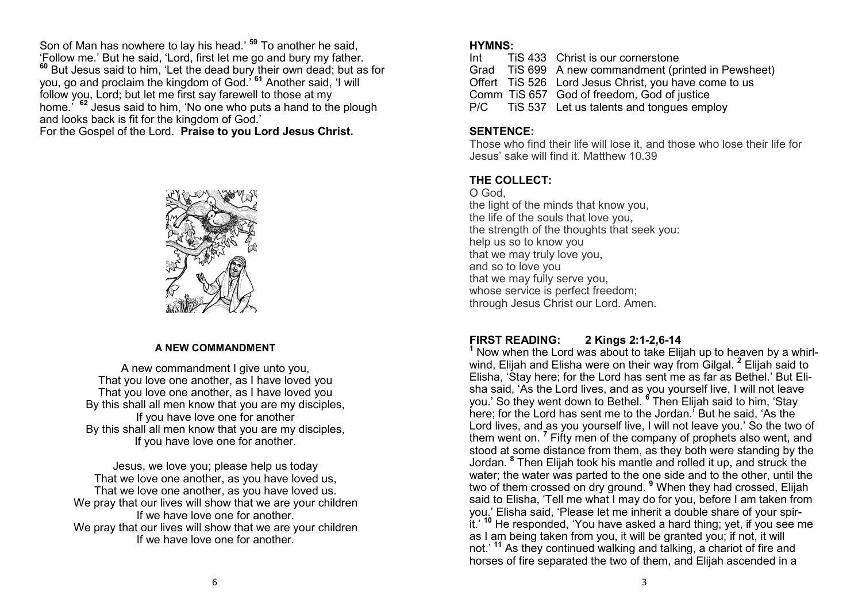Son of Man has nowhere to lay his head.' **<sup>59</sup>** To another he said, 'Follow me.' But he said, 'Lord, first let me go and bury my father. **<sup>60</sup>** But Jesus said to him, 'Let the dead bury their own dead; but as for you, go and proclaim the kingdom of God.' **<sup>61</sup>** Another said, 'I will follow you, Lord; but let me first say farewell to those at my home.' **<sup>62</sup>** Jesus said to him, 'No one who puts a hand to the plough and looks back is fit for the kingdom of God.' For the Gospel of the Lord. **Praise to you Lord Jesus Christ.**



#### **A NEW COMMANDMENT**

A new commandment I give unto you. That you love one another, as I have loved you That you love one another, as I have loved you By this shall all men know that you are my disciples, If you have love one for another By this shall all men know that you are my disciples, If you have love one for another.

Jesus, we love you; please help us today That we love one another, as you have loved us, That we love one another, as you have loved us. We pray that our lives will show that we are your children If we have love one for another. We pray that our lives will show that we are your children If we have love one for another.

#### **HYMNS:**

| Int | TIS 433 Christ is our cornerstone                     |
|-----|-------------------------------------------------------|
|     | Grad TiS 699 A new commandment (printed in Pewsheet)  |
|     | Offert TiS 526 Lord Jesus Christ, you have come to us |
|     | Comm TiS 657 God of freedom, God of justice           |
|     | P/C TiS 537 Let us talents and tongues employ         |
|     |                                                       |

#### **SENTENCE:**

Those who find their life will lose it, and those who lose their life for Jesus' sake will find it. Matthew 10.39

#### **THE COLLECT:**

O God, the light of the minds that know you, the life of the souls that love you, the strength of the thoughts that seek you: help us so to know you that we may truly love you, and so to love you that we may fully serve you, whose service is perfect freedom; through Jesus Christ our Lord. Amen.

## **FIRST READING: 2 Kings 2:1-2,6-14**

**<sup>1</sup>** Now when the Lord was about to take Elijah up to heaven by a whirlwind, Elijah and Elisha were on their way from Gilgal. **<sup>2</sup>** Elijah said to Elisha, 'Stay here; for the Lord has sent me as far as Bethel.' But Elisha said, 'As the Lord lives, and as you yourself live, I will not leave you.' So they went down to Bethel. **<sup>6</sup>** Then Elijah said to him, 'Stay here; for the Lord has sent me to the Jordan.' But he said, 'As the Lord lives, and as you yourself live, I will not leave you.' So the two of them went on. **<sup>7</sup>** Fifty men of the company of prophets also went, and stood at some distance from them, as they both were standing by the Jordan. **<sup>8</sup>** Then Elijah took his mantle and rolled it up, and struck the water; the water was parted to the one side and to the other, until the two of them crossed on dry ground. **<sup>9</sup>** When they had crossed, Elijah said to Elisha, 'Tell me what I may do for you, before I am taken from you.' Elisha said, 'Please let me inherit a double share of your spirit.' **<sup>10</sup>** He responded, 'You have asked a hard thing; yet, if you see me as I am being taken from you, it will be granted you; if not, it will not.' **<sup>11</sup>** As they continued walking and talking, a chariot of fire and horses of fire separated the two of them, and Elijah ascended in a